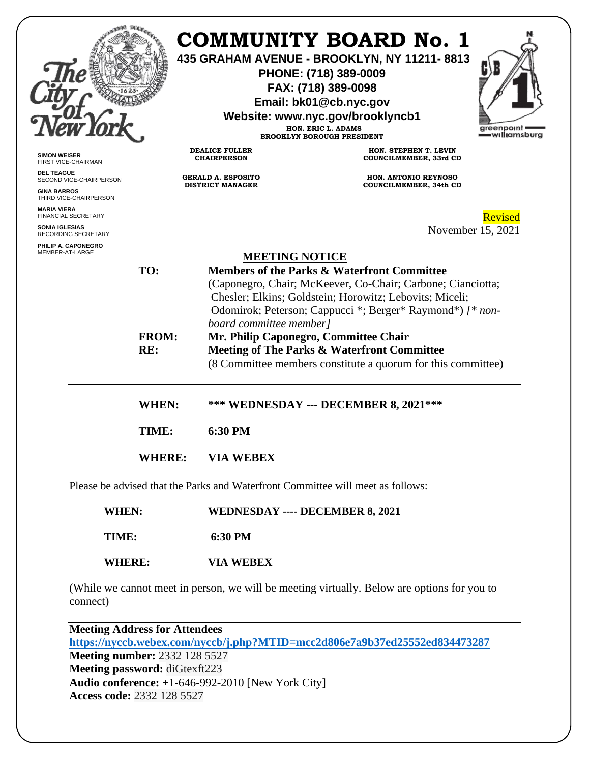|                                                                                                                                           |                            |                                                                                                                                                                                                                                                                                                                                                                                                                                                | <b>COMMUNITY BOARD No. 1</b><br>435 GRAHAM AVENUE - BROOKLYN, NY 11211-8813<br>PHONE: (718) 389-0009<br>FAX: (718) 389-0098<br>Email: bk01@cb.nyc.gov<br>Website: www.nyc.gov/brooklyncb1<br>HON. ERIC L. ADAMS<br><b>BROOKLYN BOROUGH PRESIDENT</b> | greenpoint<br>=w <b>ıllı</b> amsburg |
|-------------------------------------------------------------------------------------------------------------------------------------------|----------------------------|------------------------------------------------------------------------------------------------------------------------------------------------------------------------------------------------------------------------------------------------------------------------------------------------------------------------------------------------------------------------------------------------------------------------------------------------|------------------------------------------------------------------------------------------------------------------------------------------------------------------------------------------------------------------------------------------------------|--------------------------------------|
| <b>SIMON WEISER</b><br>FIRST VICE-CHAIRMAN                                                                                                |                            | <b>DEALICE FULLER</b><br><b>CHAIRPERSON</b>                                                                                                                                                                                                                                                                                                                                                                                                    | HON. STEPHEN T. LEVIN<br><b>COUNCILMEMBER, 33rd CD</b>                                                                                                                                                                                               |                                      |
| <b>DEL TEAGUE</b><br>SECOND VICE-CHAIRPERSON<br><b>GINA BARROS</b><br>THIRD VICE-CHAIRPERSON<br><b>MARIA VIERA</b><br>FINANCIAL SECRETARY |                            | <b>GERALD A. ESPOSITO</b><br><b>DISTRICT MANAGER</b>                                                                                                                                                                                                                                                                                                                                                                                           | <b>HON. ANTONIO REYNOSO</b><br><b>COUNCILMEMBER, 34th CD</b>                                                                                                                                                                                         | Revised                              |
| SONIA IGLESIAS<br>RECORDING SECRETARY                                                                                                     |                            |                                                                                                                                                                                                                                                                                                                                                                                                                                                | November 15, 2021                                                                                                                                                                                                                                    |                                      |
| PHILIP A. CAPONEGRO<br>MEMBER-AT-LARGE                                                                                                    | TO:<br><b>FROM:</b><br>RE: | <b>MEETING NOTICE</b><br>Members of the Parks & Waterfront Committee<br>(Caponegro, Chair; McKeever, Co-Chair; Carbone; Cianciotta;<br>Chesler; Elkins; Goldstein; Horowitz; Lebovits; Miceli;<br>Odomirok; Peterson; Cappucci *; Berger* Raymond*) [* non-<br>board committee member]<br>Mr. Philip Caponegro, Committee Chair<br>Meeting of The Parks & Waterfront Committee<br>(8 Committee members constitute a quorum for this committee) |                                                                                                                                                                                                                                                      |                                      |
|                                                                                                                                           | <b>WHEN:</b>               |                                                                                                                                                                                                                                                                                                                                                                                                                                                | <b>*** WEDNESDAY --- DECEMBER 8, 2021 ***</b>                                                                                                                                                                                                        |                                      |
|                                                                                                                                           | TIME:                      | 6:30 PM                                                                                                                                                                                                                                                                                                                                                                                                                                        |                                                                                                                                                                                                                                                      |                                      |
|                                                                                                                                           | <b>WHERE:</b>              | <b>VIA WEBEX</b>                                                                                                                                                                                                                                                                                                                                                                                                                               |                                                                                                                                                                                                                                                      |                                      |
|                                                                                                                                           |                            |                                                                                                                                                                                                                                                                                                                                                                                                                                                | Please be advised that the Parks and Waterfront Committee will meet as follows:                                                                                                                                                                      |                                      |
| <b>WHEN:</b>                                                                                                                              |                            | <b>WEDNESDAY ---- DECEMBER 8, 2021</b>                                                                                                                                                                                                                                                                                                                                                                                                         |                                                                                                                                                                                                                                                      |                                      |
| TIME:                                                                                                                                     |                            | 6:30 PM                                                                                                                                                                                                                                                                                                                                                                                                                                        |                                                                                                                                                                                                                                                      |                                      |
| <b>WHERE:</b>                                                                                                                             |                            | <b>VIA WEBEX</b>                                                                                                                                                                                                                                                                                                                                                                                                                               |                                                                                                                                                                                                                                                      |                                      |

(While we cannot meet in person, we will be meeting virtually. Below are options for you to connect)

**Meeting Address for Attendees <https://nyccb.webex.com/nyccb/j.php?MTID=mcc2d806e7a9b37ed25552ed834473287> Meeting number:** 2332 128 5527 **Meeting password:** diGtexft223 **Audio conference:** +1-646-992-2010 [New York City] **Access code:** 2332 128 5527